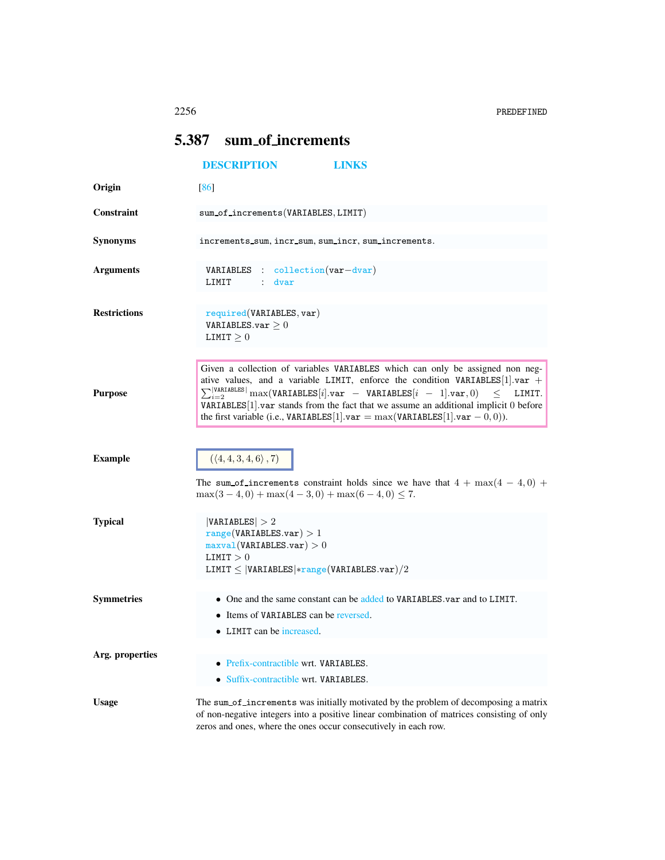## <span id="page-0-0"></span>5.387 sum of increments

|                     | <b>DESCRIPTION</b><br><b>LINKS</b>                                                                                                                                                                                                                                                                                                                                                                                                                                                                        |  |  |  |  |  |  |  |  |
|---------------------|-----------------------------------------------------------------------------------------------------------------------------------------------------------------------------------------------------------------------------------------------------------------------------------------------------------------------------------------------------------------------------------------------------------------------------------------------------------------------------------------------------------|--|--|--|--|--|--|--|--|
| Origin              | [86]                                                                                                                                                                                                                                                                                                                                                                                                                                                                                                      |  |  |  |  |  |  |  |  |
| Constraint          | sum_of_increments(VARIABLES, LIMIT)                                                                                                                                                                                                                                                                                                                                                                                                                                                                       |  |  |  |  |  |  |  |  |
| <b>Synonyms</b>     | increments_sum, incr_sum, sum_incr, sum_increments.                                                                                                                                                                                                                                                                                                                                                                                                                                                       |  |  |  |  |  |  |  |  |
| <b>Arguments</b>    | VARIABLES : collection (var-dvar)<br>LIMIT<br>: dvar                                                                                                                                                                                                                                                                                                                                                                                                                                                      |  |  |  |  |  |  |  |  |
| <b>Restrictions</b> | required(VARIABLES, var)<br>VARIABLES.var $\geq 0$<br>LIMIT $\geq 0$                                                                                                                                                                                                                                                                                                                                                                                                                                      |  |  |  |  |  |  |  |  |
| <b>Purpose</b>      | Given a collection of variables VARIABLES which can only be assigned non neg-<br>ative values, and a variable LIMIT, enforce the condition VARIABLES [1]. var +<br>$\sum_{i=2}^{{ \texttt{VARIABLES} }} \max(\texttt{VARIABLES}[i].\texttt{var} - \texttt{VARIABLES}[i - 1].\texttt{var}, 0)$<br>$\,<\,$<br>LIMIT.<br>VARIABLES <sup>[1]</sup> .var stands from the fact that we assume an additional implicit 0 before<br>the first variable (i.e., VARIABLES[1].var = $max(variABLES[1].var - 0, 0)$ ). |  |  |  |  |  |  |  |  |
| <b>Example</b>      | $(\langle 4, 4, 3, 4, 6 \rangle, 7)$<br>The sum of increments constraint holds since we have that $4 + \max(4 - 4, 0) +$<br>$\max(3-4,0) + \max(4-3,0) + \max(6-4,0) \le 7.$                                                                                                                                                                                                                                                                                                                              |  |  |  |  |  |  |  |  |
| <b>Typical</b>      | VARIABLES  > 2<br>range(VARIABLES.var) > 1<br>maxval(VARIABLES.var) > 0<br>LIMIT > 0<br>LIMIT $\leq$  VARIABLES *range(VARIABLES.var)/2                                                                                                                                                                                                                                                                                                                                                                   |  |  |  |  |  |  |  |  |
| <b>Symmetries</b>   | • One and the same constant can be added to VARIABLES, var and to LIMIT.<br>• Items of VARIABLES can be reversed.<br>• LIMIT can be increased.                                                                                                                                                                                                                                                                                                                                                            |  |  |  |  |  |  |  |  |
| Arg. properties     | • Prefix-contractible wrt. VARIABLES.<br>• Suffix-contractible wrt. VARIABLES.                                                                                                                                                                                                                                                                                                                                                                                                                            |  |  |  |  |  |  |  |  |
| <b>Usage</b>        | The sum of increments was initially motivated by the problem of decomposing a matrix<br>of non-negative integers into a positive linear combination of matrices consisting of only<br>zeros and ones, where the ones occur consecutively in each row.                                                                                                                                                                                                                                                     |  |  |  |  |  |  |  |  |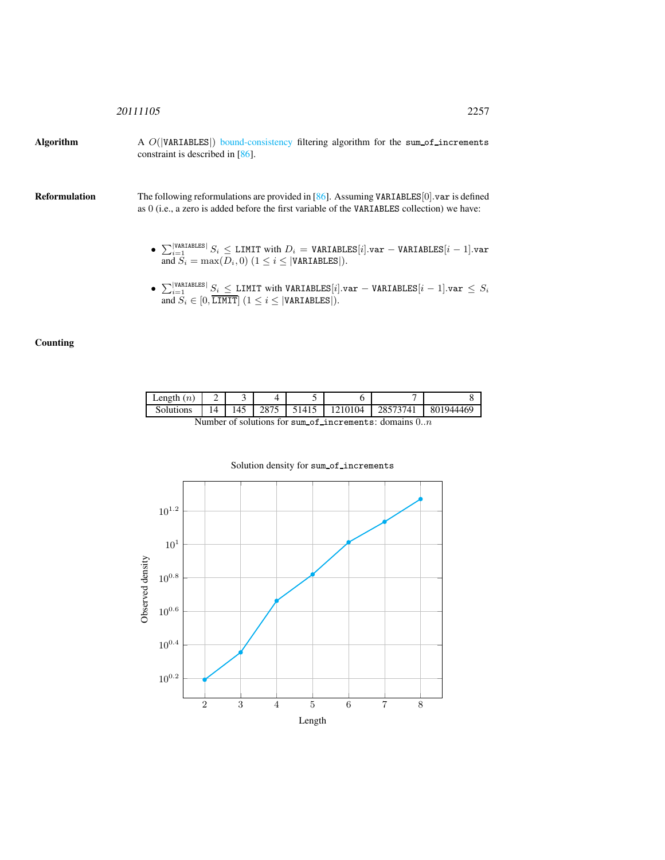Algorithm A  $O(|VARTABLES|)$  bound-consistency filtering algorithm for the sum of increments constraint is described in [86].

Reformulation The following reformulations are provided in [86]. Assuming VARIABLES[0].var is defined as 0 (i.e., a zero is added before the first variable of the VARIABLES collection) we have:

- $\sum_{i=1}^{\vert \texttt{VARTABLES} \vert} S_i \leq \texttt{LIMIT with } D_i = \texttt{VARIABLES}[i].\texttt{var} \texttt{VARIABLES}[i-1].\texttt{var}$ and  $S_i = \max(D_i, 0)$   $(1 \leq i \leq |\texttt{VARIABLES}|).$
- $\sum_{i=1}^{\vert \texttt{VARTABLES} \vert} S_i \leq \texttt{LIMIT}$  with VARIABLES[i].var VARIABLES[i 1].var  $\leq S_i$ and  $S_i \in [0, \overline{\text{LIMIT}}]$   $(1 \leq i \leq |\text{VARIABLES}|)$ .

## **Counting**

| $\text{Length}(n)$ | -              |    |      |       |         |          |           |
|--------------------|----------------|----|------|-------|---------|----------|-----------|
| Solutions          | $\overline{4}$ | 45 | 2875 | 5141. | 1210104 | 28573741 | 801944469 |

Number of solutions for sum of increments: domains 0..n



## Solution density for sum\_of\_increments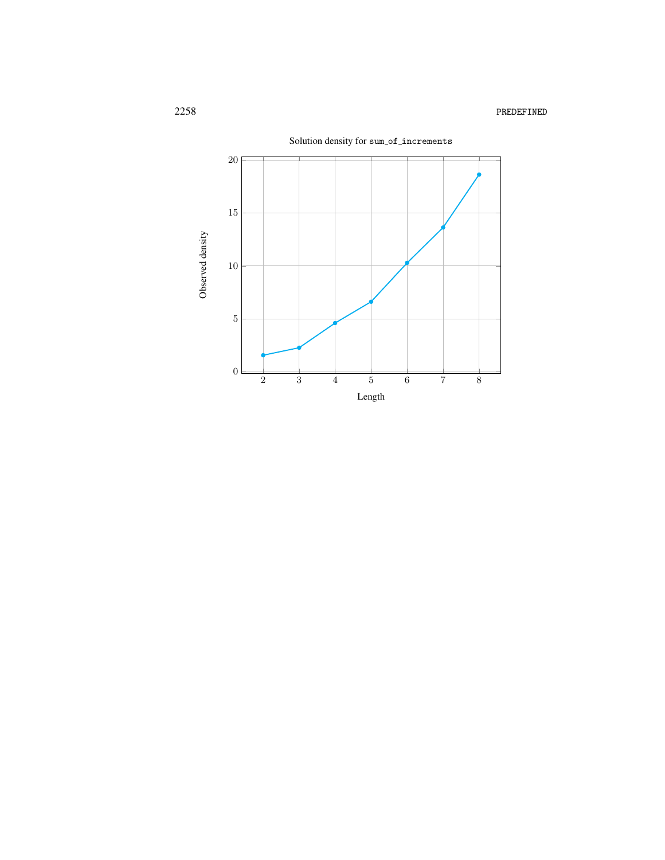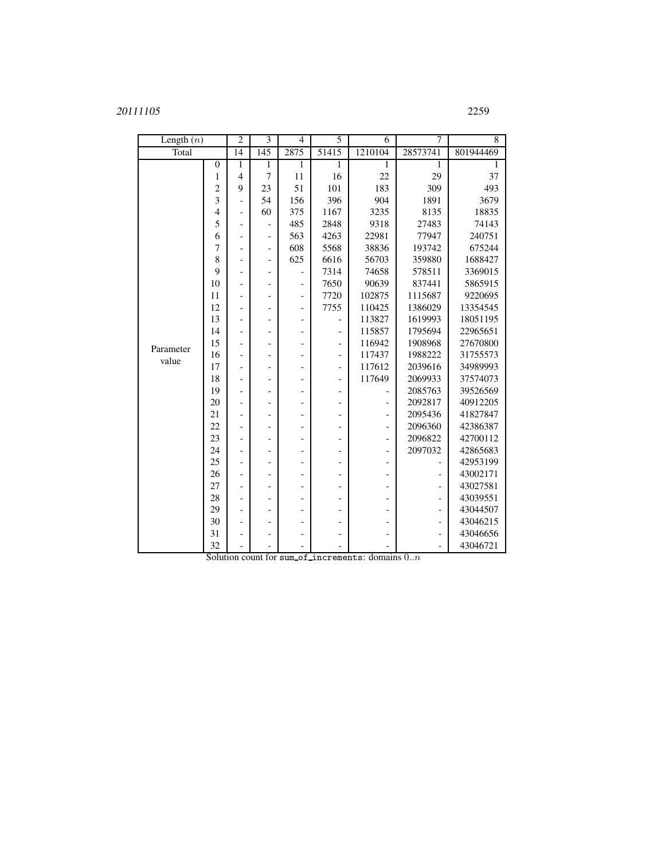## 2259

| Length $(n)$       |                  | $\overline{2}$           | $\overline{3}$           | $\overline{4}$ | 5                        | 6                        | 7                            | $\overline{8}$ |
|--------------------|------------------|--------------------------|--------------------------|----------------|--------------------------|--------------------------|------------------------------|----------------|
| Total              |                  | 14                       | 145                      | 2875           | 51415                    | 1210104                  | 28573741                     | 801944469      |
|                    | $\boldsymbol{0}$ | 1                        | $\mathbf{1}$             | 1              | 1                        | 1                        | $\mathbf{1}$                 | 1              |
|                    | 1                | $\overline{4}$           | $\overline{7}$           | 11             | 16                       | 22                       | 29                           | 37             |
|                    | $\overline{c}$   | 9                        | 23                       | 51             | 101                      | 183                      | 309                          | 493            |
|                    | 3                | $\overline{a}$           | 54                       | 156            | 396                      | 904                      | 1891                         | 3679           |
|                    | $\overline{4}$   | $\overline{\phantom{m}}$ | 60                       | 375            | 1167                     | 3235                     | 8135                         | 18835          |
|                    | 5                | $\overline{\phantom{0}}$ | $\qquad \qquad -$        | 485            | 2848                     | 9318                     | 27483                        | 74143          |
|                    | 6                | $\overline{a}$           | $\overline{\phantom{0}}$ | 563            | 4263                     | 22981                    | 77947                        | 240751         |
|                    | 7                | ٠                        | $\overline{a}$           | 608            | 5568                     | 38836                    | 193742                       | 675244         |
|                    | 8                | $\overline{\phantom{0}}$ | $\overline{\phantom{0}}$ | 625            | 6616                     | 56703                    | 359880                       | 1688427        |
|                    | 9                | ٠                        | $\overline{\phantom{0}}$ |                | 7314                     | 74658                    | 578511                       | 3369015        |
|                    | 10               | ۰                        | $\overline{\phantom{0}}$ | ٠              | 7650                     | 90639                    | 837441                       | 5865915        |
|                    | 11               | $\overline{\phantom{0}}$ | $\overline{\phantom{0}}$ | -              | 7720                     | 102875                   | 1115687                      | 9220695        |
| Parameter<br>value | 12               | $\overline{\phantom{0}}$ | $\overline{\phantom{0}}$ | $\overline{a}$ | 7755                     | 110425                   | 1386029                      | 13354545       |
|                    | 13               | $\overline{\phantom{0}}$ | $\qquad \qquad -$        | -              |                          | 113827                   | 1619993                      | 18051195       |
|                    | 14               | $\overline{a}$           | $\overline{\phantom{a}}$ | $\overline{a}$ | $\overline{\phantom{0}}$ | 115857                   | 1795694                      | 22965651       |
|                    | 15               | $\overline{\phantom{0}}$ | -                        | -              | $\overline{\phantom{0}}$ | 116942                   | 1908968                      | 27670800       |
|                    | 16               | $\overline{a}$           | $\overline{\phantom{0}}$ | -              | $\overline{a}$           | 117437                   | 1988222                      | 31755573       |
|                    | 17               | $\overline{a}$           | $\overline{a}$           | $\overline{a}$ | $\overline{\phantom{a}}$ | 117612                   | 2039616                      | 34989993       |
|                    | 18               | $\overline{a}$           | $\overline{\phantom{0}}$ | -              | $\overline{\phantom{a}}$ | 117649                   | 2069933                      | 37574073       |
|                    | 19               | $\overline{a}$           | $\overline{\phantom{0}}$ | $\overline{a}$ | $\overline{a}$           |                          | 2085763                      | 39526569       |
|                    | 20               | $\overline{\phantom{0}}$ | $\overline{\phantom{0}}$ | -              | -                        | $\overline{a}$           | 2092817                      | 40912205       |
|                    | 21               | $\overline{\phantom{m}}$ | $\overline{\phantom{0}}$ | -              | -                        | $\overline{\phantom{a}}$ | 2095436                      | 41827847       |
|                    | 22               | $\overline{\phantom{0}}$ | $\overline{\phantom{0}}$ | -              | -                        | -                        | 2096360                      | 42386387       |
|                    | 23               | $\overline{a}$           | $\overline{a}$           | $\overline{a}$ |                          | $\overline{a}$           | 2096822                      | 42700112       |
|                    | 24               |                          | $\overline{\phantom{0}}$ |                |                          |                          | 2097032                      | 42865683       |
|                    | 25               | $\overline{\phantom{0}}$ | $\qquad \qquad$          | -              |                          | ۰                        |                              | 42953199       |
|                    | 26               | $\overline{a}$           | $\overline{\phantom{0}}$ | -              |                          | -                        | -                            | 43002171       |
|                    | 27               | ٠                        | $\equiv$                 | $\overline{a}$ |                          |                          | ۳                            | 43027581       |
|                    | 28               | $\overline{\phantom{0}}$ | $\overline{\phantom{0}}$ |                |                          |                          | $\overline{a}$               | 43039551       |
|                    | 29               | $\overline{a}$           | $\overline{a}$           | -              |                          |                          | $\overline{a}$               | 43044507       |
|                    | 30               | $\overline{\phantom{a}}$ | $\overline{\phantom{0}}$ | -              |                          |                          | $\qquad \qquad \blacksquare$ | 43046215       |
|                    | 31               | $\overline{a}$           | $\overline{\phantom{0}}$ |                |                          |                          | $\overline{a}$               | 43046656       |
|                    | 32               | $\blacksquare$           | $\overline{\phantom{0}}$ |                |                          | $\overline{\phantom{0}}$ | $\overline{\phantom{a}}$     | 43046721       |

Solution count for sum\_of\_increments: domains  $0..n$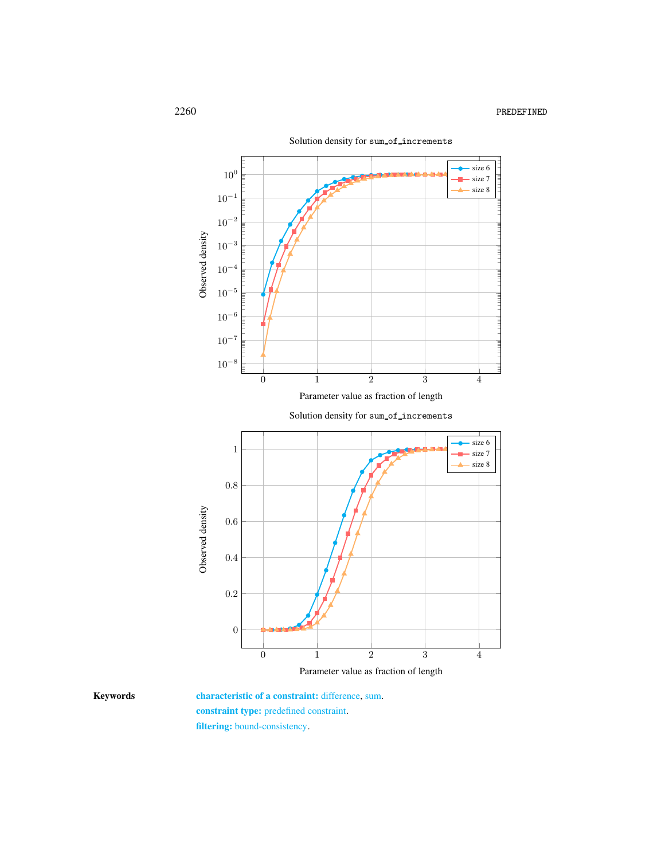

Parameter value as fraction of length

<span id="page-4-0"></span>

Keywords characteristic of a constraint: difference, sum. constraint type: predefined constraint. filtering: bound-consistency.